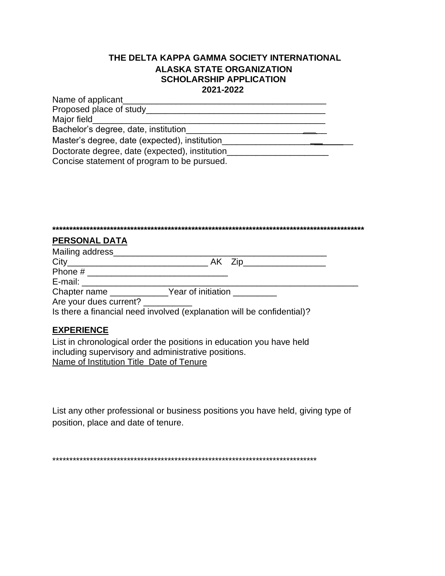## **THE DELTA KAPPA GAMMA SOCIETY INTERNATIONAL ALASKA STATE ORGANIZATION SCHOLARSHIP APPLICATION 2021-2022**

| Name of applicant                              |  |
|------------------------------------------------|--|
| Proposed place of study                        |  |
| Major field                                    |  |
| Bachelor's degree, date, institution           |  |
| Master's degree, date (expected), institution  |  |
| Doctorate degree, date (expected), institution |  |
| Concise statement of program to be pursued.    |  |

| <b>PERSONAL DATA</b>                                                   |  |
|------------------------------------------------------------------------|--|
|                                                                        |  |
|                                                                        |  |
|                                                                        |  |
|                                                                        |  |
| Chapter name <b>Figure 12</b> Year of initiation                       |  |
| Are your dues current? __________                                      |  |
| Is there a financial need involved (explanation will be confidential)? |  |
| FVDEDIENAE                                                             |  |

## **EXPERIENCE**

List in chronological order the positions in education you have held including supervisory and administrative positions. Name of Institution Title Date of Tenure

List any other professional or business positions you have held, giving type of position, place and date of tenure.

\*\*\*\*\*\*\*\*\*\*\*\*\*\*\*\*\*\*\*\*\*\*\*\*\*\*\*\*\*\*\*\*\*\*\*\*\*\*\*\*\*\*\*\*\*\*\*\*\*\*\*\*\*\*\*\*\*\*\*\*\*\*\*\*\*\*\*\*\*\*\*\*\*\*\*\*\*\*